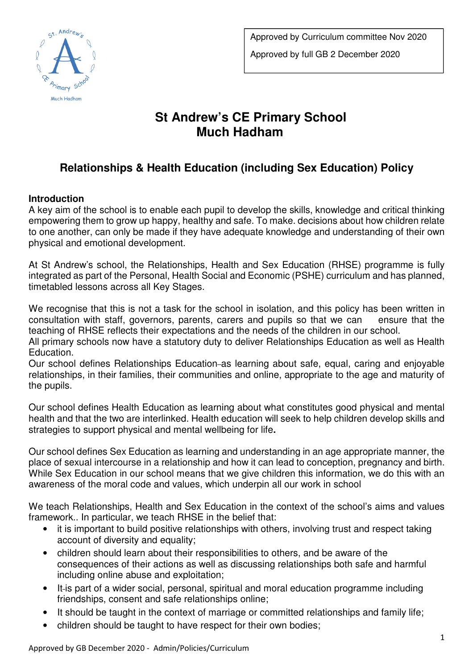

# **St Andrew's CE Primary School Much Hadham**

## **Relationships & Health Education (including Sex Education) Policy**

#### **Introduction**

A key aim of the school is to enable each pupil to develop the skills, knowledge and critical thinking empowering them to grow up happy, healthy and safe. To make. decisions about how children relate to one another, can only be made if they have adequate knowledge and understanding of their own physical and emotional development.

At St Andrew's school, the Relationships, Health and Sex Education (RHSE) programme is fully integrated as part of the Personal, Health Social and Economic (PSHE) curriculum and has planned, timetabled lessons across all Key Stages.

We recognise that this is not a task for the school in isolation, and this policy has been written in consultation with staff, governors, parents, carers and pupils so that we can ensure that the teaching of RHSE reflects their expectations and the needs of the children in our school.

All primary schools now have a statutory duty to deliver Relationships Education as well as Health Education.

Our school defines Relationships Education-as learning about safe, equal, caring and enjoyable relationships, in their families, their communities and online, appropriate to the age and maturity of the pupils.

Our school defines Health Education as learning about what constitutes good physical and mental health and that the two are interlinked. Health education will seek to help children develop skills and strategies to support physical and mental wellbeing for life**.** 

Our school defines Sex Education as learning and understanding in an age appropriate manner, the place of sexual intercourse in a relationship and how it can lead to conception, pregnancy and birth. While Sex Education in our school means that we give children this information, we do this with an awareness of the moral code and values, which underpin all our work in school

We teach Relationships, Health and Sex Education in the context of the school's aims and values framework.. In particular, we teach RHSE in the belief that:

- it is important to build positive relationships with others, involving trust and respect taking account of diversity and equality;
- children should learn about their responsibilities to others, and be aware of the consequences of their actions as well as discussing relationships both safe and harmful including online abuse and exploitation;
- It-is part of a wider social, personal, spiritual and moral education programme including friendships, consent and safe relationships online;
- It should be taught in the context of marriage or committed relationships and family life;
- children should be taught to have respect for their own bodies;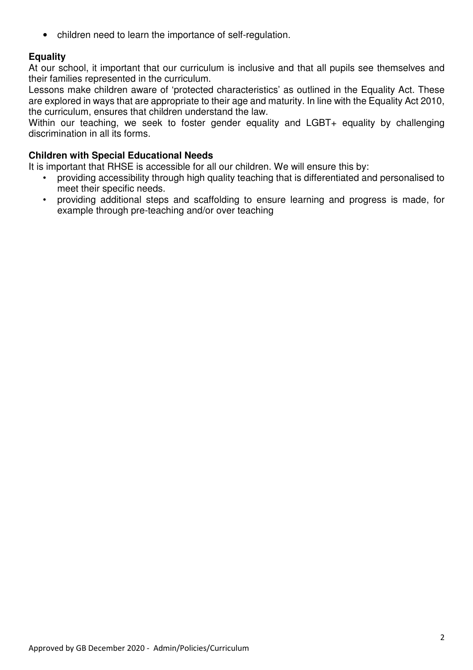• children need to learn the importance of self-regulation.

#### **Equality**

At our school, it important that our curriculum is inclusive and that all pupils see themselves and their families represented in the curriculum.

Lessons make children aware of 'protected characteristics' as outlined in the Equality Act. These are explored in ways that are appropriate to their age and maturity. In line with the Equality Act 2010, the curriculum, ensures that children understand the law.

Within our teaching, we seek to foster gender equality and LGBT+ equality by challenging discrimination in all its forms.

#### **Children with Special Educational Needs**

It is important that RHSE is accessible for all our children. We will ensure this by:

- providing accessibility through high quality teaching that is differentiated and personalised to meet their specific needs.
- providing additional steps and scaffolding to ensure learning and progress is made, for example through pre-teaching and/or over teaching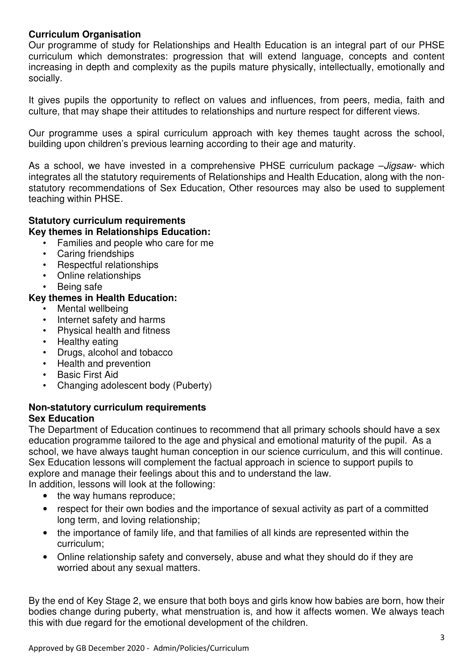#### **Curriculum Organisation**

Our programme of study for Relationships and Health Education is an integral part of our PHSE curriculum which demonstrates: progression that will extend language, concepts and content increasing in depth and complexity as the pupils mature physically, intellectually, emotionally and socially.

It gives pupils the opportunity to reflect on values and influences, from peers, media, faith and culture, that may shape their attitudes to relationships and nurture respect for different views.

Our programme uses a spiral curriculum approach with key themes taught across the school, building upon children's previous learning according to their age and maturity.

As a school, we have invested in a comprehensive PHSE curriculum package  $-Jigsaw-$  which integrates all the statutory requirements of Relationships and Health Education, along with the nonstatutory recommendations of Sex Education, Other resources may also be used to supplement teaching within PHSE.

### **Statutory curriculum requirements**

#### **Key themes in Relationships Education:**

- Families and people who care for me
- Caring friendships
- Respectful relationships
- Online relationships
- Being safe

#### **Key themes in Health Education:**

- Mental wellbeing
- Internet safety and harms
- Physical health and fitness
- Healthy eating
- Drugs, alcohol and tobacco
- Health and prevention
- Basic First Aid
- Changing adolescent body (Puberty)

#### **Non-statutory curriculum requirements Sex Education**

The Department of Education continues to recommend that all primary schools should have a sex education programme tailored to the age and physical and emotional maturity of the pupil. As a school, we have always taught human conception in our science curriculum, and this will continue. Sex Education lessons will complement the factual approach in science to support pupils to explore and manage their feelings about this and to understand the law.

In addition, lessons will look at the following:

- the way humans reproduce;
- respect for their own bodies and the importance of sexual activity as part of a committed long term, and loving relationship;
- the importance of family life, and that families of all kinds are represented within the curriculum;
- Online relationship safety and conversely, abuse and what they should do if they are worried about any sexual matters.

By the end of Key Stage 2, we ensure that both boys and girls know how babies are born, how their bodies change during puberty, what menstruation is, and how it affects women. We always teach this with due regard for the emotional development of the children.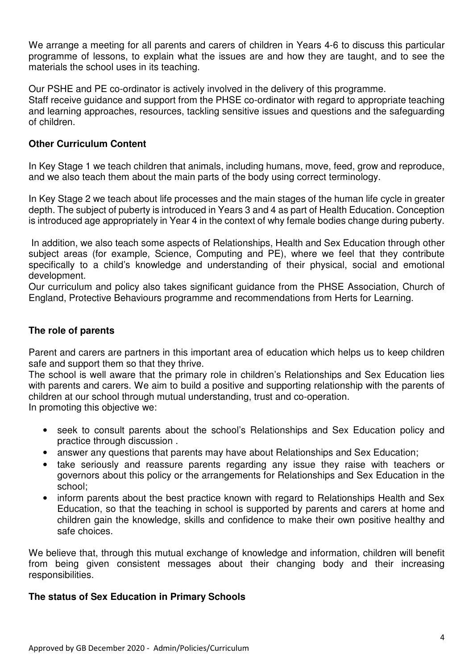We arrange a meeting for all parents and carers of children in Years 4-6 to discuss this particular programme of lessons, to explain what the issues are and how they are taught, and to see the materials the school uses in its teaching.

Our PSHE and PE co-ordinator is actively involved in the delivery of this programme.

Staff receive guidance and support from the PHSE co-ordinator with regard to appropriate teaching and learning approaches, resources, tackling sensitive issues and questions and the safeguarding of children.

#### **Other Curriculum Content**

In Key Stage 1 we teach children that animals, including humans, move, feed, grow and reproduce, and we also teach them about the main parts of the body using correct terminology.

In Key Stage 2 we teach about life processes and the main stages of the human life cycle in greater depth. The subject of puberty is introduced in Years 3 and 4 as part of Health Education. Conception is introduced age appropriately in Year 4 in the context of why female bodies change during puberty.

 In addition, we also teach some aspects of Relationships, Health and Sex Education through other subject areas (for example, Science, Computing and PE), where we feel that they contribute specifically to a child's knowledge and understanding of their physical, social and emotional development.

Our curriculum and policy also takes significant guidance from the PHSE Association, Church of England, Protective Behaviours programme and recommendations from Herts for Learning.

#### **The role of parents**

Parent and carers are partners in this important area of education which helps us to keep children safe and support them so that they thrive.

The school is well aware that the primary role in children's Relationships and Sex Education lies with parents and carers. We aim to build a positive and supporting relationship with the parents of children at our school through mutual understanding, trust and co-operation.

In promoting this objective we:

- seek to consult parents about the school's Relationships and Sex Education policy and practice through discussion .
- answer any questions that parents may have about Relationships and Sex Education;
- take seriously and reassure parents regarding any issue they raise with teachers or governors about this policy or the arrangements for Relationships and Sex Education in the school;
- inform parents about the best practice known with regard to Relationships Health and Sex Education, so that the teaching in school is supported by parents and carers at home and children gain the knowledge, skills and confidence to make their own positive healthy and safe choices.

We believe that, through this mutual exchange of knowledge and information, children will benefit from being given consistent messages about their changing body and their increasing responsibilities.

#### **The status of Sex Education in Primary Schools**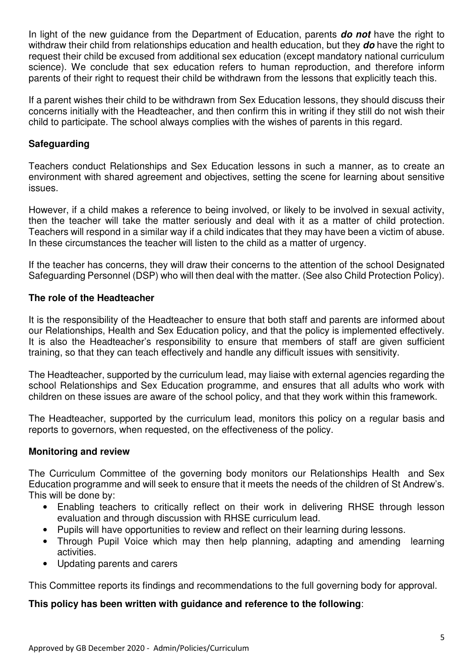In light of the new guidance from the Department of Education, parents **do not** have the right to withdraw their child from relationships education and health education, but they **do** have the right to request their child be excused from additional sex education (except mandatory national curriculum science). We conclude that sex education refers to human reproduction, and therefore inform parents of their right to request their child be withdrawn from the lessons that explicitly teach this.

If a parent wishes their child to be withdrawn from Sex Education lessons, they should discuss their concerns initially with the Headteacher, and then confirm this in writing if they still do not wish their child to participate. The school always complies with the wishes of parents in this regard.

#### **Safeguarding**

Teachers conduct Relationships and Sex Education lessons in such a manner, as to create an environment with shared agreement and objectives, setting the scene for learning about sensitive issues.

However, if a child makes a reference to being involved, or likely to be involved in sexual activity, then the teacher will take the matter seriously and deal with it as a matter of child protection. Teachers will respond in a similar way if a child indicates that they may have been a victim of abuse. In these circumstances the teacher will listen to the child as a matter of urgency.

If the teacher has concerns, they will draw their concerns to the attention of the school Designated Safeguarding Personnel (DSP) who will then deal with the matter. (See also Child Protection Policy).

#### **The role of the Headteacher**

It is the responsibility of the Headteacher to ensure that both staff and parents are informed about our Relationships, Health and Sex Education policy, and that the policy is implemented effectively. It is also the Headteacher's responsibility to ensure that members of staff are given sufficient training, so that they can teach effectively and handle any difficult issues with sensitivity.

The Headteacher, supported by the curriculum lead, may liaise with external agencies regarding the school Relationships and Sex Education programme, and ensures that all adults who work with children on these issues are aware of the school policy, and that they work within this framework.

The Headteacher, supported by the curriculum lead, monitors this policy on a regular basis and reports to governors, when requested, on the effectiveness of the policy.

#### **Monitoring and review**

The Curriculum Committee of the governing body monitors our Relationships Health and Sex Education programme and will seek to ensure that it meets the needs of the children of St Andrew's. This will be done by:

- Enabling teachers to critically reflect on their work in delivering RHSE through lesson evaluation and through discussion with RHSE curriculum lead.
- Pupils will have opportunities to review and reflect on their learning during lessons.
- Through Pupil Voice which may then help planning, adapting and amending learning activities.
- Updating parents and carers

This Committee reports its findings and recommendations to the full governing body for approval.

#### **This policy has been written with guidance and reference to the following**: